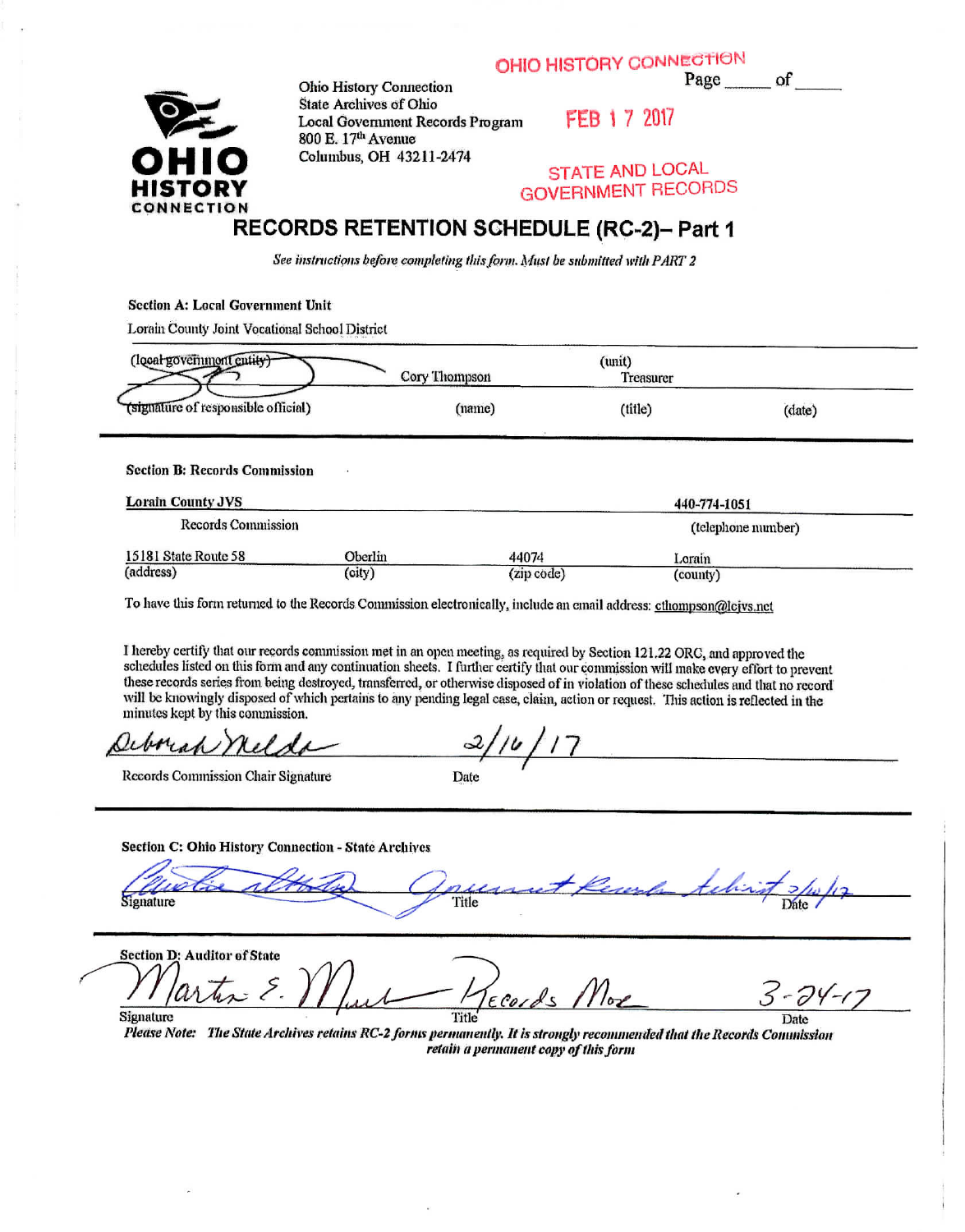**OHIO HISTORY CONNECTION** 

Page of



Ohio History Connection State Archives of Ohio Locnl Government Records Program 800 E. 17<sup>th</sup> Avenue Columbus, OH 432H-2474

FEB 1 7 2017

#### STATE AND LOCAL GOVERNMENT RECORDS

#### RECORDS RETENTION SCHEDULE (RC-2)- Part 1

*See instructions before completing this form. Musi be submitted with PART 2*

Section A: Locnl Government Unit

Lorain County Joint Vocational School District

| (local governmont entity)-          |               | (unit)           |        |
|-------------------------------------|---------------|------------------|--------|
|                                     | Cory Thompson | <b>Treasurer</b> |        |
| (signature of responsible official) | (name)        | (title)          | (date) |

Section B: Records Commission

| <b>Lorain County JVS</b> |         | 440-774-1051 |                    |  |
|--------------------------|---------|--------------|--------------------|--|
| Records Commission       |         |              | (telephone number) |  |
| 15181 State Route 58     | Oberlin | 44074        | Lorain             |  |
| (address)                | (city)  | (zip code)   | (county)           |  |

To have this form returned to the Records Commission electronically, include an email address: cthompson@lcjvs.net

I hereby certify that our records commission met in an open meeting, as required by Section 121.22 ORC, and approved the schedules listed on this fonu and any continuation sheets, I further certify that our commission will make every effort to prevent these records series from being destroyed, transferred, or otherwise disposed of in violation of these schedules and that no record will be knowingly disposed of which pertains to any pending legal case, claim, action or request. This action is reflected in the minutes kept by this commission.

Deborah nels

Section **C: Ohio** History Connection - State **Archives**

*//^s^r^\*.* X^: —*&* alle altorie Gouernet Kenera tehnist >/w/

*retain a permanent copy of this form*

Section D: Auditor of State -74-1 Signature Date Date *e: lite State Archives retains RC-2 forim permanently. It* /.r *strongly recommended1 that the Records Commission*

Records Commission Chair Signature Date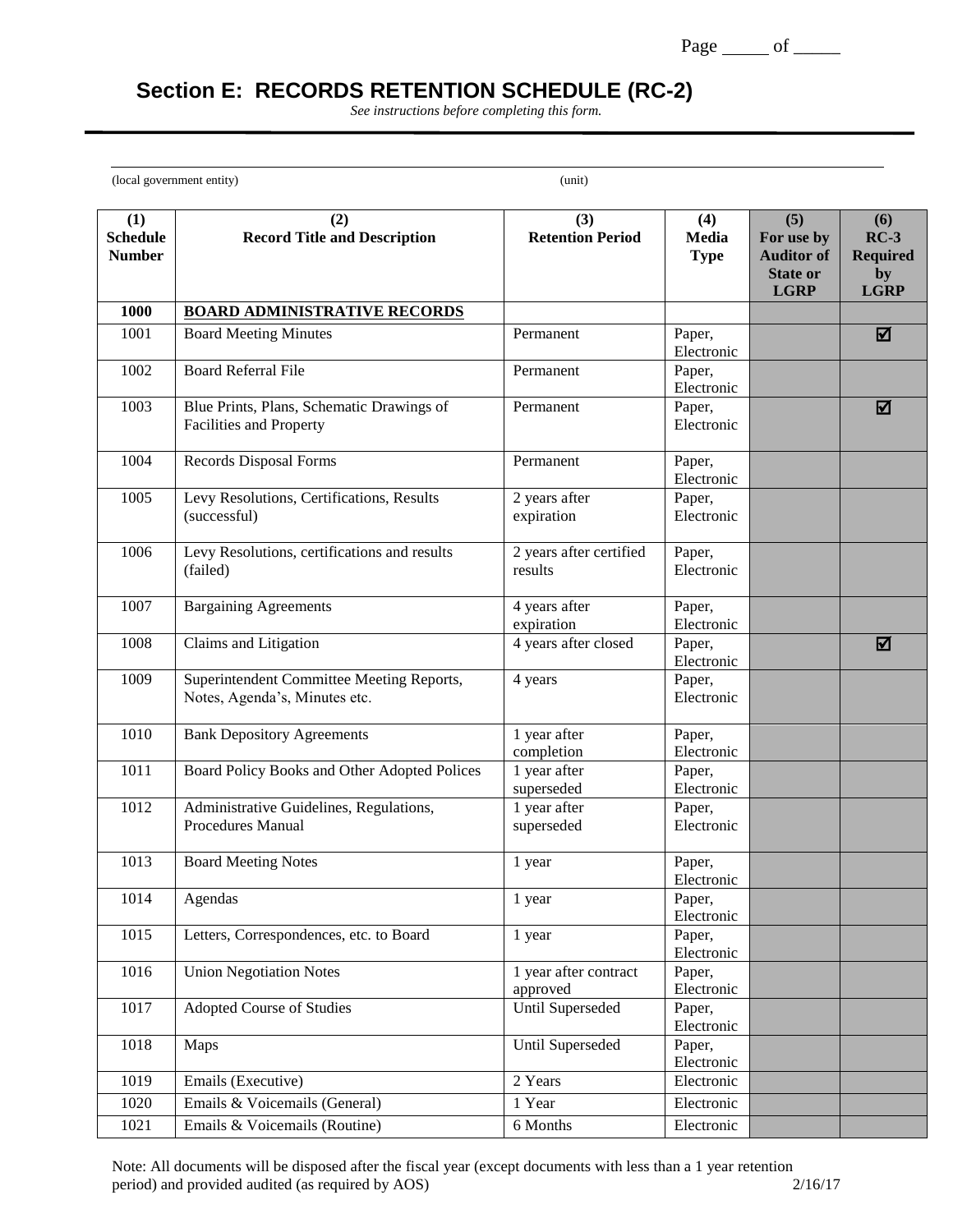# **Section E: RECORDS RETENTION SCHEDULE (RC-2)**

*See instructions before completing this form.*

(local government entity) (unit)

 $\overline{a}$ 

| (1)<br><b>Schedule</b> | (2)<br><b>Record Title and Description</b>                                  | (3)<br><b>Retention Period</b>     | (4)<br>Media         | (5)<br>For use by                                   | (6)<br>$RC-3$                        |
|------------------------|-----------------------------------------------------------------------------|------------------------------------|----------------------|-----------------------------------------------------|--------------------------------------|
| <b>Number</b>          |                                                                             |                                    | <b>Type</b>          | <b>Auditor of</b><br><b>State or</b><br><b>LGRP</b> | <b>Required</b><br>by<br><b>LGRP</b> |
| 1000                   | <b>BOARD ADMINISTRATIVE RECORDS</b>                                         |                                    |                      |                                                     |                                      |
| 1001                   | <b>Board Meeting Minutes</b>                                                | Permanent                          | Paper,               |                                                     | ☑                                    |
|                        |                                                                             |                                    | Electronic           |                                                     |                                      |
| 1002                   | <b>Board Referral File</b>                                                  | Permanent                          | Paper,<br>Electronic |                                                     |                                      |
| 1003                   | Blue Prints, Plans, Schematic Drawings of<br><b>Facilities and Property</b> | Permanent                          | Paper,<br>Electronic |                                                     | ☑                                    |
| 1004                   | <b>Records Disposal Forms</b>                                               | Permanent                          | Paper,<br>Electronic |                                                     |                                      |
| 1005                   | Levy Resolutions, Certifications, Results<br>(successful)                   | 2 years after<br>expiration        | Paper,<br>Electronic |                                                     |                                      |
| 1006                   | Levy Resolutions, certifications and results<br>(failed)                    | 2 years after certified<br>results | Paper,<br>Electronic |                                                     |                                      |
| 1007                   | <b>Bargaining Agreements</b>                                                | 4 years after<br>expiration        | Paper,<br>Electronic |                                                     |                                      |
| 1008                   | Claims and Litigation                                                       | 4 years after closed               | Paper,<br>Electronic |                                                     | ☑                                    |
| 1009                   | Superintendent Committee Meeting Reports,<br>Notes, Agenda's, Minutes etc.  | 4 years                            | Paper,<br>Electronic |                                                     |                                      |
| 1010                   | <b>Bank Depository Agreements</b>                                           | 1 year after<br>completion         | Paper,<br>Electronic |                                                     |                                      |
| 1011                   | Board Policy Books and Other Adopted Polices                                | 1 year after<br>superseded         | Paper,<br>Electronic |                                                     |                                      |
| 1012                   | Administrative Guidelines, Regulations,<br><b>Procedures Manual</b>         | 1 year after<br>superseded         | Paper,<br>Electronic |                                                     |                                      |
| 1013                   | <b>Board Meeting Notes</b>                                                  | 1 year                             | Paper,<br>Electronic |                                                     |                                      |
| 1014                   | Agendas                                                                     | 1 year                             | Paper,<br>Electronic |                                                     |                                      |
| 1015                   | Letters, Correspondences, etc. to Board                                     | 1 year                             | Paper,<br>Electronic |                                                     |                                      |
| 1016                   | <b>Union Negotiation Notes</b>                                              | 1 year after contract<br>approved  | Paper,<br>Electronic |                                                     |                                      |
| 1017                   | <b>Adopted Course of Studies</b>                                            | <b>Until Superseded</b>            | Paper,<br>Electronic |                                                     |                                      |
| 1018                   | Maps                                                                        | Until Superseded                   | Paper,<br>Electronic |                                                     |                                      |
| 1019                   | Emails (Executive)                                                          | 2 Years                            | Electronic           |                                                     |                                      |
| 1020                   | Emails & Voicemails (General)                                               | 1 Year                             | Electronic           |                                                     |                                      |
| 1021                   | Emails & Voicemails (Routine)                                               | 6 Months                           | Electronic           |                                                     |                                      |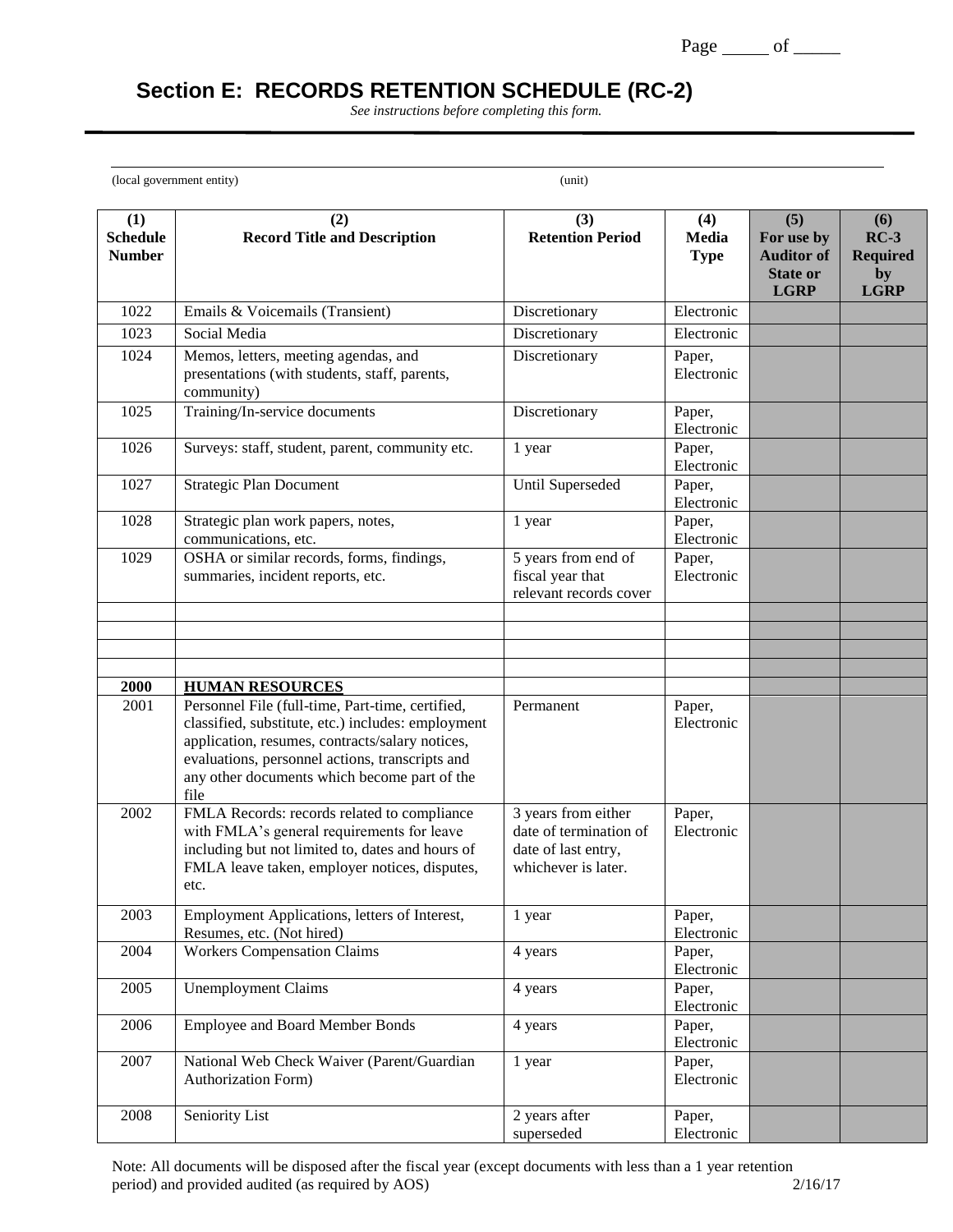# **Section E: RECORDS RETENTION SCHEDULE (RC-2)**

*See instructions before completing this form.*

(local government entity) (unit)

 $\overline{a}$ 

| (1)<br><b>Schedule</b><br><b>Number</b> | (2)<br><b>Record Title and Description</b>                                                                                                                                                                                                                           | (3)<br><b>Retention Period</b>                                                              | (4)<br><b>Media</b><br><b>Type</b> | (5)<br>For use by<br><b>Auditor of</b><br><b>State or</b><br><b>LGRP</b> | (6)<br>$RC-3$<br><b>Required</b><br>by<br><b>LGRP</b> |
|-----------------------------------------|----------------------------------------------------------------------------------------------------------------------------------------------------------------------------------------------------------------------------------------------------------------------|---------------------------------------------------------------------------------------------|------------------------------------|--------------------------------------------------------------------------|-------------------------------------------------------|
| 1022                                    | Emails & Voicemails (Transient)                                                                                                                                                                                                                                      | Discretionary                                                                               | Electronic                         |                                                                          |                                                       |
| 1023                                    | Social Media                                                                                                                                                                                                                                                         | Discretionary                                                                               | Electronic                         |                                                                          |                                                       |
| 1024                                    | Memos, letters, meeting agendas, and<br>presentations (with students, staff, parents,<br>community)                                                                                                                                                                  | Discretionary                                                                               | Paper,<br>Electronic               |                                                                          |                                                       |
| 1025                                    | Training/In-service documents                                                                                                                                                                                                                                        | Discretionary                                                                               | Paper,<br>Electronic               |                                                                          |                                                       |
| 1026                                    | Surveys: staff, student, parent, community etc.                                                                                                                                                                                                                      | 1 year                                                                                      | Paper,<br>Electronic               |                                                                          |                                                       |
| 1027                                    | <b>Strategic Plan Document</b>                                                                                                                                                                                                                                       | Until Superseded                                                                            | Paper,<br>Electronic               |                                                                          |                                                       |
| 1028                                    | Strategic plan work papers, notes,<br>communications, etc.                                                                                                                                                                                                           | 1 year                                                                                      | Paper,<br>Electronic               |                                                                          |                                                       |
| 1029                                    | OSHA or similar records, forms, findings,<br>summaries, incident reports, etc.                                                                                                                                                                                       | 5 years from end of<br>fiscal year that<br>relevant records cover                           | Paper,<br>Electronic               |                                                                          |                                                       |
|                                         |                                                                                                                                                                                                                                                                      |                                                                                             |                                    |                                                                          |                                                       |
|                                         |                                                                                                                                                                                                                                                                      |                                                                                             |                                    |                                                                          |                                                       |
| 2000                                    | <b>HUMAN RESOURCES</b>                                                                                                                                                                                                                                               |                                                                                             |                                    |                                                                          |                                                       |
| 2001                                    | Personnel File (full-time, Part-time, certified,<br>classified, substitute, etc.) includes: employment<br>application, resumes, contracts/salary notices,<br>evaluations, personnel actions, transcripts and<br>any other documents which become part of the<br>file | Permanent                                                                                   | Paper,<br>Electronic               |                                                                          |                                                       |
| 2002                                    | FMLA Records: records related to compliance<br>with FMLA's general requirements for leave<br>including but not limited to, dates and hours of<br>FMLA leave taken, employer notices, disputes,<br>etc.                                                               | 3 years from either<br>date of termination of<br>date of last entry,<br>whichever is later. | Paper,<br>Electronic               |                                                                          |                                                       |
| 2003                                    | Employment Applications, letters of Interest,<br>Resumes, etc. (Not hired)                                                                                                                                                                                           | 1 year                                                                                      | Paper,<br>Electronic               |                                                                          |                                                       |
| 2004                                    | <b>Workers Compensation Claims</b>                                                                                                                                                                                                                                   | 4 years                                                                                     | Paper,<br>Electronic               |                                                                          |                                                       |
| 2005                                    | <b>Unemployment Claims</b>                                                                                                                                                                                                                                           | 4 years                                                                                     | Paper,<br>Electronic               |                                                                          |                                                       |
| 2006                                    | <b>Employee and Board Member Bonds</b>                                                                                                                                                                                                                               | 4 years                                                                                     | Paper,<br>Electronic               |                                                                          |                                                       |
| 2007                                    | National Web Check Waiver (Parent/Guardian<br><b>Authorization Form)</b>                                                                                                                                                                                             | 1 year                                                                                      | Paper,<br>Electronic               |                                                                          |                                                       |
| 2008                                    | Seniority List                                                                                                                                                                                                                                                       | 2 years after<br>superseded                                                                 | Paper,<br>Electronic               |                                                                          |                                                       |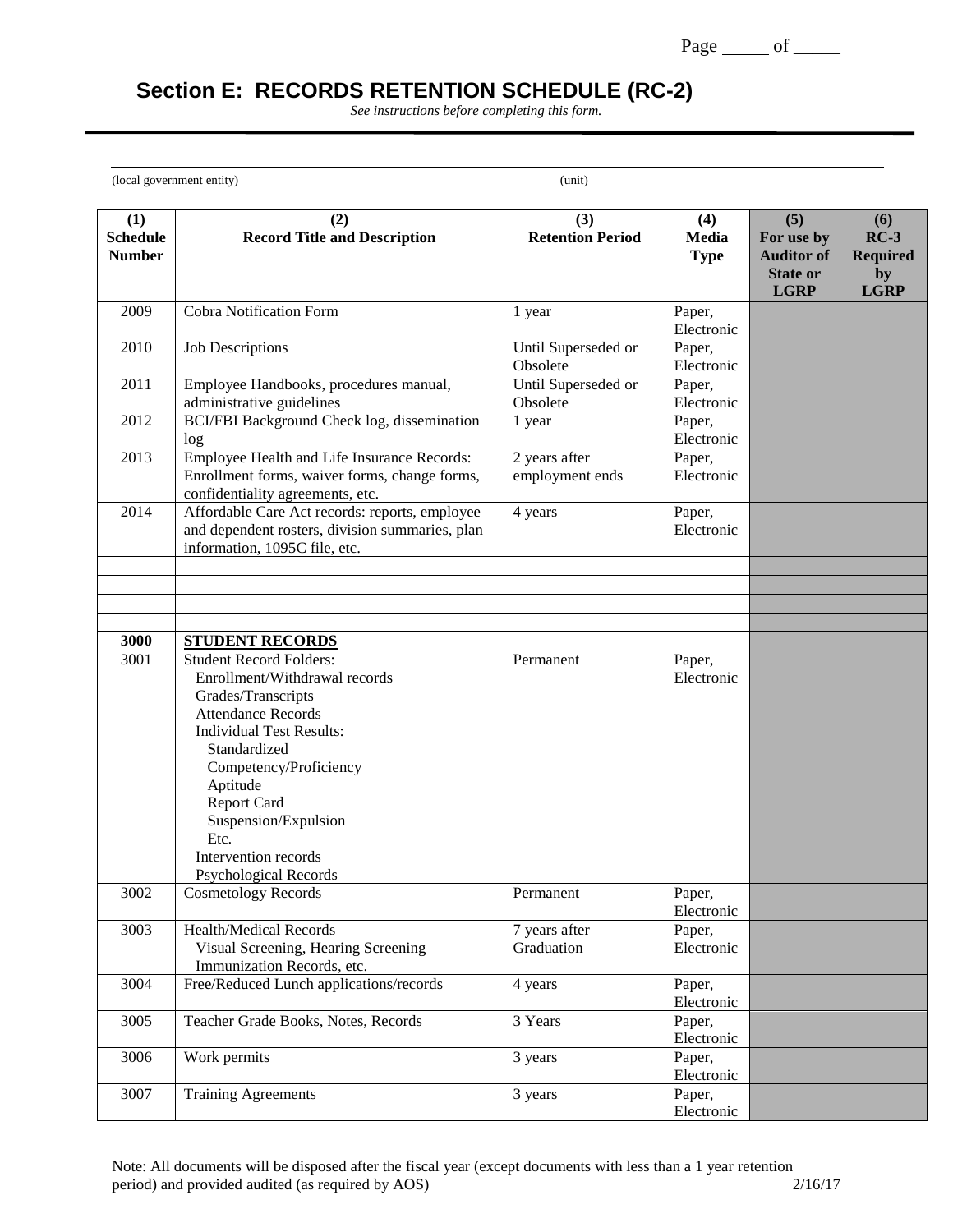# **Section E: RECORDS RETENTION SCHEDULE (RC-2)**

*See instructions before completing this form.*

(local government entity) (unit)

 $\overline{a}$ 

| (1)<br><b>Schedule</b><br><b>Number</b> | (2)<br><b>Record Title and Description</b>                                                                                                                                                                                                                                                                         | (3)<br><b>Retention Period</b>   | (4)<br>Media<br><b>Type</b> | (5)<br>For use by<br><b>Auditor of</b><br><b>State or</b><br><b>LGRP</b> | (6)<br>$RC-3$<br><b>Required</b><br>by<br><b>LGRP</b> |
|-----------------------------------------|--------------------------------------------------------------------------------------------------------------------------------------------------------------------------------------------------------------------------------------------------------------------------------------------------------------------|----------------------------------|-----------------------------|--------------------------------------------------------------------------|-------------------------------------------------------|
| 2009                                    | <b>Cobra Notification Form</b>                                                                                                                                                                                                                                                                                     | 1 year                           | Paper,<br>Electronic        |                                                                          |                                                       |
| 2010                                    | <b>Job Descriptions</b>                                                                                                                                                                                                                                                                                            | Until Superseded or<br>Obsolete  | Paper,<br>Electronic        |                                                                          |                                                       |
| 2011                                    | Employee Handbooks, procedures manual,<br>administrative guidelines                                                                                                                                                                                                                                                | Until Superseded or<br>Obsolete  | Paper,<br>Electronic        |                                                                          |                                                       |
| 2012                                    | BCI/FBI Background Check log, dissemination<br>log                                                                                                                                                                                                                                                                 | 1 year                           | Paper,<br>Electronic        |                                                                          |                                                       |
| 2013                                    | Employee Health and Life Insurance Records:<br>Enrollment forms, waiver forms, change forms,<br>confidentiality agreements, etc.                                                                                                                                                                                   | 2 years after<br>employment ends | Paper,<br>Electronic        |                                                                          |                                                       |
| 2014                                    | Affordable Care Act records: reports, employee<br>and dependent rosters, division summaries, plan<br>information, 1095C file, etc.                                                                                                                                                                                 | 4 years                          | Paper,<br>Electronic        |                                                                          |                                                       |
|                                         |                                                                                                                                                                                                                                                                                                                    |                                  |                             |                                                                          |                                                       |
|                                         |                                                                                                                                                                                                                                                                                                                    |                                  |                             |                                                                          |                                                       |
| 3000                                    | <b>STUDENT RECORDS</b>                                                                                                                                                                                                                                                                                             |                                  |                             |                                                                          |                                                       |
| 3001                                    | <b>Student Record Folders:</b><br>Enrollment/Withdrawal records<br>Grades/Transcripts<br><b>Attendance Records</b><br><b>Individual Test Results:</b><br>Standardized<br>Competency/Proficiency<br>Aptitude<br>Report Card<br>Suspension/Expulsion<br>Etc.<br>Intervention records<br><b>Psychological Records</b> | Permanent                        | Paper,<br>Electronic        |                                                                          |                                                       |
| 3002                                    | <b>Cosmetology Records</b>                                                                                                                                                                                                                                                                                         | Permanent                        | Paper,<br>Electronic        |                                                                          |                                                       |
| 3003                                    | Health/Medical Records<br>Visual Screening, Hearing Screening<br>Immunization Records, etc.                                                                                                                                                                                                                        | 7 years after<br>Graduation      | Paper,<br>Electronic        |                                                                          |                                                       |
| 3004                                    | Free/Reduced Lunch applications/records                                                                                                                                                                                                                                                                            | 4 years                          | Paper,<br>Electronic        |                                                                          |                                                       |
| 3005                                    | Teacher Grade Books, Notes, Records                                                                                                                                                                                                                                                                                | 3 Years                          | Paper,<br>Electronic        |                                                                          |                                                       |
| 3006                                    | Work permits                                                                                                                                                                                                                                                                                                       | 3 years                          | Paper,<br>Electronic        |                                                                          |                                                       |
| 3007                                    | <b>Training Agreements</b>                                                                                                                                                                                                                                                                                         | 3 years                          | Paper,<br>Electronic        |                                                                          |                                                       |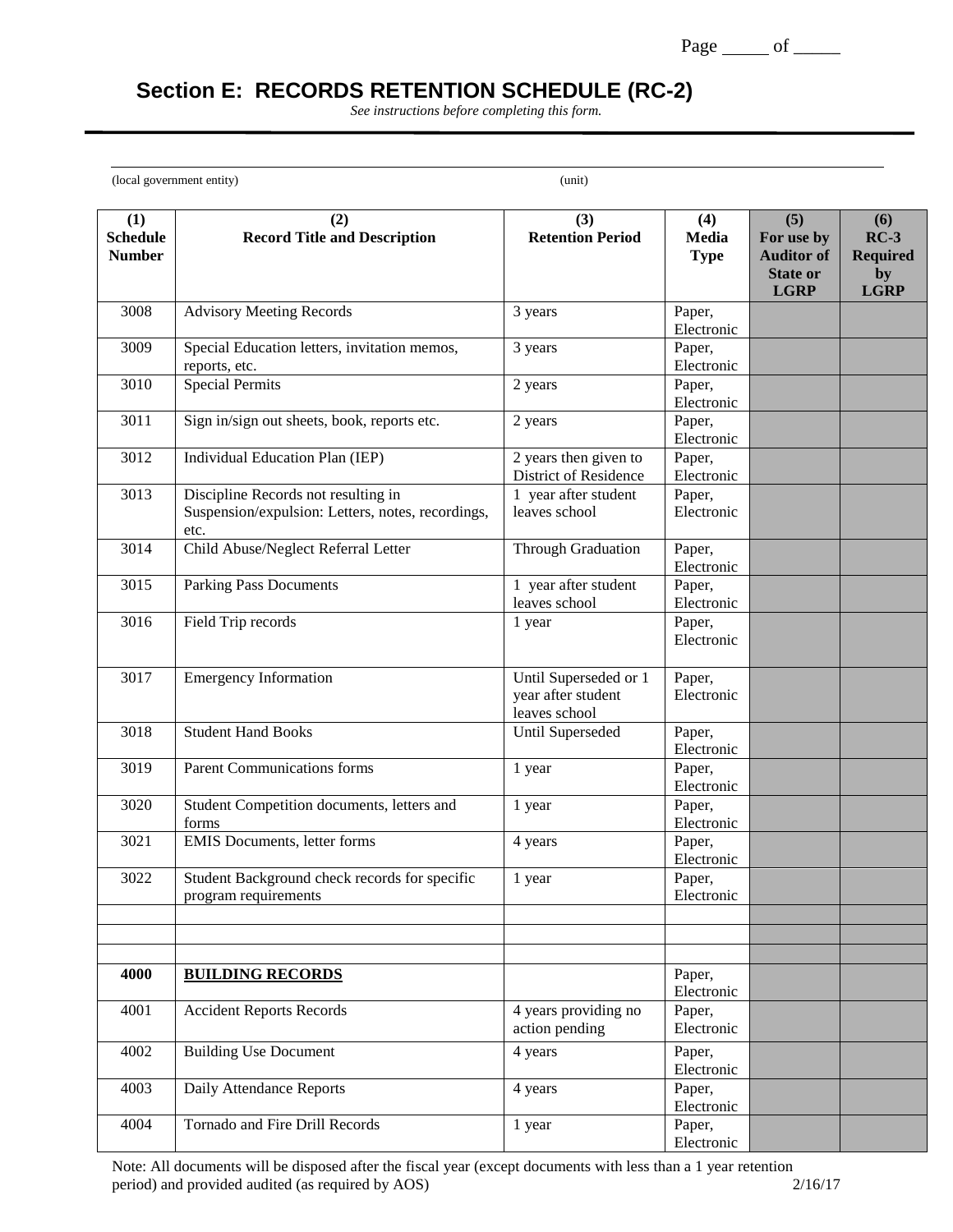# **Section E: RECORDS RETENTION SCHEDULE (RC-2)**

*See instructions before completing this form.*

(local government entity) (unit)

 $\overline{a}$ 

|                                         |                                                                                                  |                                                              |                             | (5)                                                               |                                                       |
|-----------------------------------------|--------------------------------------------------------------------------------------------------|--------------------------------------------------------------|-----------------------------|-------------------------------------------------------------------|-------------------------------------------------------|
| (1)<br><b>Schedule</b><br><b>Number</b> | (2)<br><b>Record Title and Description</b>                                                       | (3)<br><b>Retention Period</b>                               | (4)<br>Media<br><b>Type</b> | For use by<br><b>Auditor of</b><br><b>State or</b><br><b>LGRP</b> | (6)<br>$RC-3$<br><b>Required</b><br>by<br><b>LGRP</b> |
| 3008                                    | <b>Advisory Meeting Records</b>                                                                  | 3 years                                                      | Paper,<br>Electronic        |                                                                   |                                                       |
| 3009                                    | Special Education letters, invitation memos,<br>reports, etc.                                    | 3 years                                                      | Paper,<br>Electronic        |                                                                   |                                                       |
| 3010                                    | <b>Special Permits</b>                                                                           | 2 years                                                      | Paper,<br>Electronic        |                                                                   |                                                       |
| 3011                                    | Sign in/sign out sheets, book, reports etc.                                                      | 2 years                                                      | Paper,<br>Electronic        |                                                                   |                                                       |
| 3012                                    | Individual Education Plan (IEP)                                                                  | 2 years then given to<br>District of Residence               | Paper,<br>Electronic        |                                                                   |                                                       |
| 3013                                    | Discipline Records not resulting in<br>Suspension/expulsion: Letters, notes, recordings,<br>etc. | 1 year after student<br>leaves school                        | Paper,<br>Electronic        |                                                                   |                                                       |
| 3014                                    | Child Abuse/Neglect Referral Letter                                                              | Through Graduation                                           | Paper,<br>Electronic        |                                                                   |                                                       |
| 3015                                    | <b>Parking Pass Documents</b>                                                                    | 1 year after student<br>leaves school                        | Paper,<br>Electronic        |                                                                   |                                                       |
| 3016                                    | Field Trip records                                                                               | 1 year                                                       | Paper,<br>Electronic        |                                                                   |                                                       |
| 3017                                    | <b>Emergency Information</b>                                                                     | Until Superseded or 1<br>year after student<br>leaves school | Paper,<br>Electronic        |                                                                   |                                                       |
| 3018                                    | <b>Student Hand Books</b>                                                                        | Until Superseded                                             | Paper,<br>Electronic        |                                                                   |                                                       |
| 3019                                    | <b>Parent Communications forms</b>                                                               | 1 year                                                       | Paper,<br>Electronic        |                                                                   |                                                       |
| 3020                                    | Student Competition documents, letters and<br>forms                                              | 1 year                                                       | Paper,<br>Electronic        |                                                                   |                                                       |
| 3021                                    | <b>EMIS Documents, letter forms</b>                                                              | 4 years                                                      | Paper,<br>Electronic        |                                                                   |                                                       |
| 3022                                    | Student Background check records for specific<br>program requirements                            | 1 year                                                       | Paper,<br>Electronic        |                                                                   |                                                       |
|                                         |                                                                                                  |                                                              |                             |                                                                   |                                                       |
| 4000                                    | <b>BUILDING RECORDS</b>                                                                          |                                                              | Paper,<br>Electronic        |                                                                   |                                                       |
| 4001                                    | <b>Accident Reports Records</b>                                                                  | 4 years providing no<br>action pending                       | Paper,<br>Electronic        |                                                                   |                                                       |
| 4002                                    | <b>Building Use Document</b>                                                                     | 4 years                                                      | Paper,<br>Electronic        |                                                                   |                                                       |
| 4003                                    | Daily Attendance Reports                                                                         | 4 years                                                      | Paper,<br>Electronic        |                                                                   |                                                       |
| 4004                                    | Tornado and Fire Drill Records                                                                   | 1 year                                                       | Paper,<br>Electronic        |                                                                   |                                                       |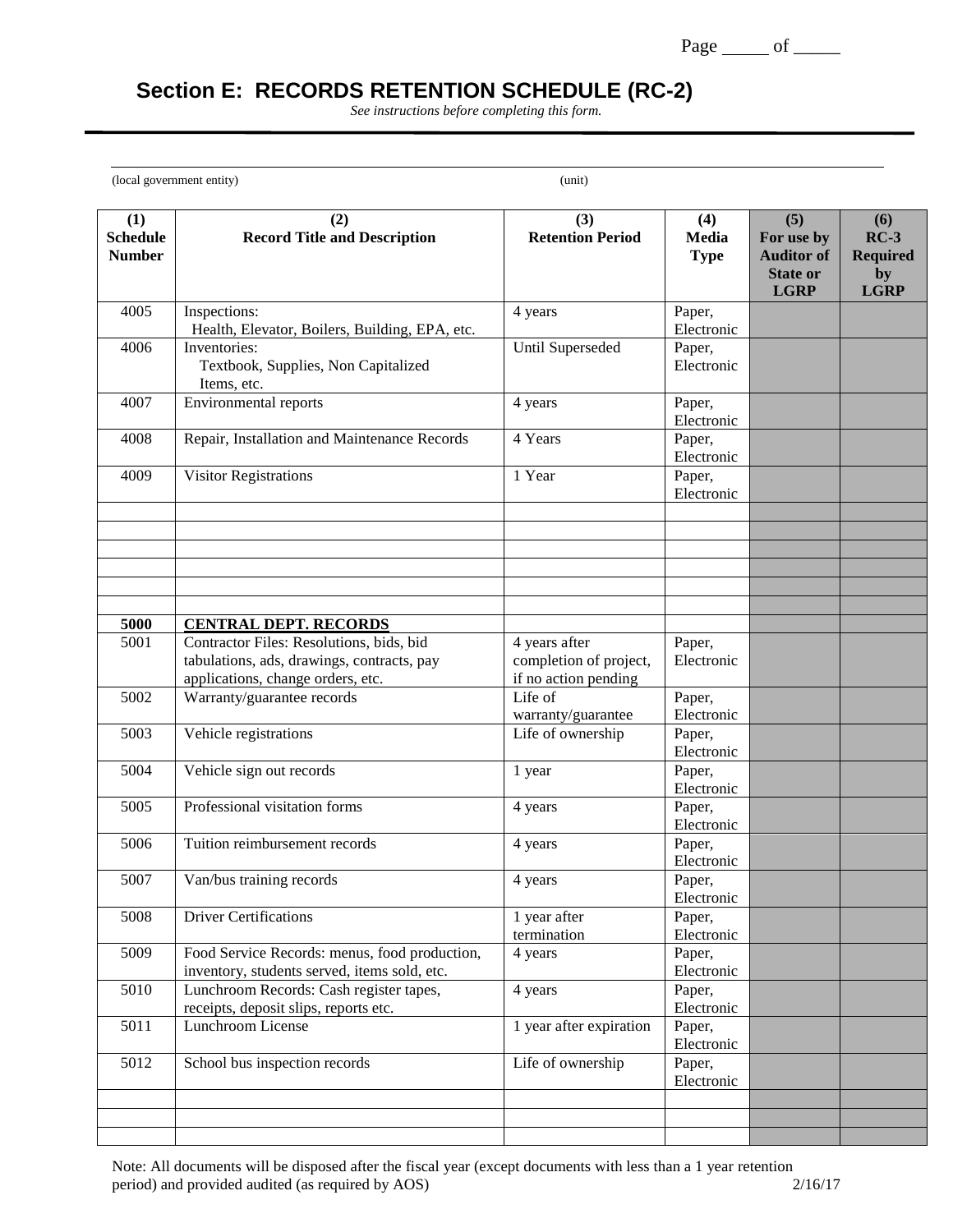# **Section E: RECORDS RETENTION SCHEDULE (RC-2)**

*See instructions before completing this form.*

(local government entity) (unit)

 $\overline{a}$ 

| (1)<br><b>Schedule</b><br><b>Number</b> | (2)<br><b>Record Title and Description</b>                                                                                                                  | (3)<br><b>Retention Period</b>                                  | (4)<br><b>Media</b><br><b>Type</b> | (5)<br>For use by<br><b>Auditor of</b><br><b>State or</b><br><b>LGRP</b> | (6)<br>$RC-3$<br><b>Required</b><br>by<br><b>LGRP</b> |
|-----------------------------------------|-------------------------------------------------------------------------------------------------------------------------------------------------------------|-----------------------------------------------------------------|------------------------------------|--------------------------------------------------------------------------|-------------------------------------------------------|
| 4005                                    | Inspections:<br>Health, Elevator, Boilers, Building, EPA, etc.                                                                                              | 4 years                                                         | Paper,<br>Electronic               |                                                                          |                                                       |
| 4006                                    | Inventories:<br>Textbook, Supplies, Non Capitalized<br>Items, etc.                                                                                          | Until Superseded                                                | Paper,<br>Electronic               |                                                                          |                                                       |
| 4007                                    | <b>Environmental reports</b>                                                                                                                                | 4 years                                                         | Paper,<br>Electronic               |                                                                          |                                                       |
| 4008                                    | Repair, Installation and Maintenance Records                                                                                                                | 4 Years                                                         | Paper,<br>Electronic               |                                                                          |                                                       |
| 4009                                    | Visitor Registrations                                                                                                                                       | 1 Year                                                          | Paper,<br>Electronic               |                                                                          |                                                       |
|                                         |                                                                                                                                                             |                                                                 |                                    |                                                                          |                                                       |
|                                         |                                                                                                                                                             |                                                                 |                                    |                                                                          |                                                       |
| 5000<br>5001                            | <b>CENTRAL DEPT. RECORDS</b><br>Contractor Files: Resolutions, bids, bid<br>tabulations, ads, drawings, contracts, pay<br>applications, change orders, etc. | 4 years after<br>completion of project,<br>if no action pending | Paper,<br>Electronic               |                                                                          |                                                       |
| 5002                                    | Warranty/guarantee records                                                                                                                                  | Life of<br>warranty/guarantee                                   | Paper,<br>Electronic               |                                                                          |                                                       |
| 5003                                    | Vehicle registrations                                                                                                                                       | Life of ownership                                               | Paper,<br>Electronic               |                                                                          |                                                       |
| 5004                                    | Vehicle sign out records                                                                                                                                    | 1 year                                                          | Paper,<br>Electronic               |                                                                          |                                                       |
| 5005                                    | Professional visitation forms                                                                                                                               | 4 years                                                         | Paper,<br>Electronic               |                                                                          |                                                       |
| 5006                                    | Tuition reimbursement records                                                                                                                               | 4 years                                                         | Paper,<br>Electronic               |                                                                          |                                                       |
| 5007                                    | Van/bus training records                                                                                                                                    | 4 years                                                         | Paper,<br>Electronic               |                                                                          |                                                       |
| 5008                                    | <b>Driver Certifications</b>                                                                                                                                | 1 year after<br>termination                                     | Paper,<br>Electronic               |                                                                          |                                                       |
| 5009                                    | Food Service Records: menus, food production,<br>inventory, students served, items sold, etc.                                                               | 4 years                                                         | Paper,<br>Electronic               |                                                                          |                                                       |
| 5010                                    | Lunchroom Records: Cash register tapes,<br>receipts, deposit slips, reports etc.                                                                            | 4 years                                                         | Paper,<br>Electronic               |                                                                          |                                                       |
| 5011                                    | Lunchroom License                                                                                                                                           | 1 year after expiration                                         | Paper,<br>Electronic               |                                                                          |                                                       |
| 5012                                    | School bus inspection records                                                                                                                               | Life of ownership                                               | Paper,<br>Electronic               |                                                                          |                                                       |
|                                         |                                                                                                                                                             |                                                                 |                                    |                                                                          |                                                       |
|                                         |                                                                                                                                                             |                                                                 |                                    |                                                                          |                                                       |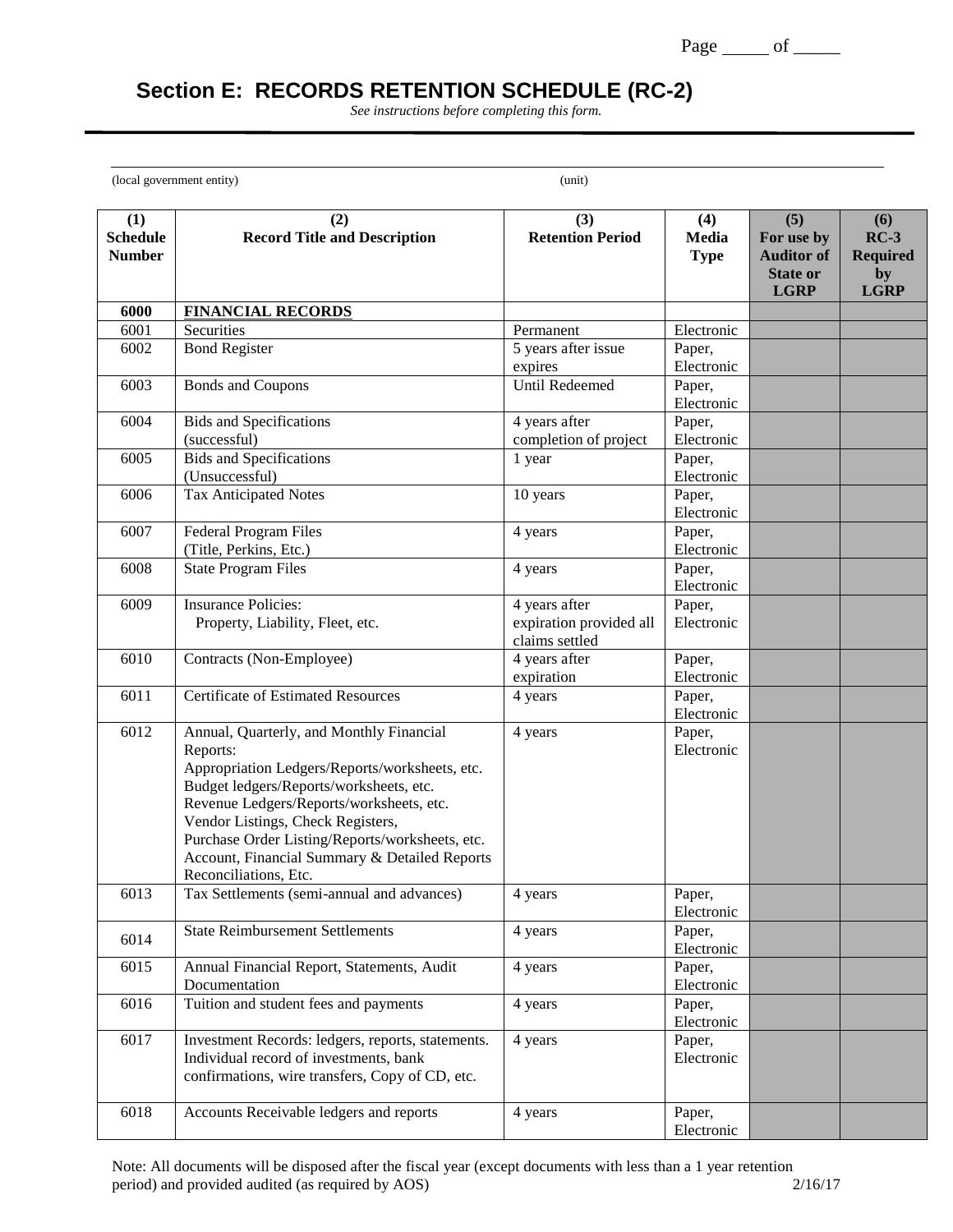# **Section E: RECORDS RETENTION SCHEDULE (RC-2)**

*See instructions before completing this form.*

(local government entity) (unit)

 $\overline{a}$ 

| (1)<br><b>Schedule</b><br><b>Number</b> | (2)<br><b>Record Title and Description</b>                 | (3)<br><b>Retention Period</b> | (4)<br>Media<br><b>Type</b> | (5)<br>For use by<br><b>Auditor of</b> | (6)<br>$RC-3$<br><b>Required</b> |
|-----------------------------------------|------------------------------------------------------------|--------------------------------|-----------------------------|----------------------------------------|----------------------------------|
|                                         |                                                            |                                |                             | <b>State or</b><br><b>LGRP</b>         | by<br><b>LGRP</b>                |
| 6000                                    | <b>FINANCIAL RECORDS</b>                                   |                                |                             |                                        |                                  |
| 6001                                    | Securities                                                 | Permanent                      | Electronic                  |                                        |                                  |
| 6002                                    | <b>Bond Register</b>                                       | 5 years after issue            | Paper,                      |                                        |                                  |
|                                         |                                                            | expires                        | Electronic                  |                                        |                                  |
| 6003                                    | <b>Bonds and Coupons</b>                                   | <b>Until Redeemed</b>          | Paper,                      |                                        |                                  |
| 6004                                    | <b>Bids and Specifications</b>                             | 4 years after                  | Electronic<br>Paper,        |                                        |                                  |
|                                         | (successful)                                               | completion of project          | Electronic                  |                                        |                                  |
| 6005                                    | <b>Bids and Specifications</b>                             | 1 year                         | Paper,                      |                                        |                                  |
|                                         | (Unsuccessful)                                             |                                | Electronic                  |                                        |                                  |
| 6006                                    | <b>Tax Anticipated Notes</b>                               | 10 years                       | Paper,                      |                                        |                                  |
|                                         |                                                            |                                | Electronic                  |                                        |                                  |
| 6007                                    | <b>Federal Program Files</b>                               | 4 years                        | Paper,                      |                                        |                                  |
|                                         | (Title, Perkins, Etc.)                                     |                                | Electronic                  |                                        |                                  |
| 6008                                    | <b>State Program Files</b>                                 | 4 years                        | Paper,<br>Electronic        |                                        |                                  |
| 6009                                    | <b>Insurance Policies:</b>                                 | 4 years after                  | Paper,                      |                                        |                                  |
|                                         | Property, Liability, Fleet, etc.                           | expiration provided all        | Electronic                  |                                        |                                  |
|                                         |                                                            | claims settled                 |                             |                                        |                                  |
| 6010                                    | Contracts (Non-Employee)                                   | 4 years after                  | Paper,                      |                                        |                                  |
|                                         |                                                            | expiration                     | Electronic                  |                                        |                                  |
| 6011                                    | <b>Certificate of Estimated Resources</b>                  | 4 years                        | Paper,                      |                                        |                                  |
|                                         |                                                            |                                | Electronic                  |                                        |                                  |
| 6012                                    | Annual, Quarterly, and Monthly Financial                   | 4 years                        | Paper,<br>Electronic        |                                        |                                  |
|                                         | Reports:<br>Appropriation Ledgers/Reports/worksheets, etc. |                                |                             |                                        |                                  |
|                                         | Budget ledgers/Reports/worksheets, etc.                    |                                |                             |                                        |                                  |
|                                         | Revenue Ledgers/Reports/worksheets, etc.                   |                                |                             |                                        |                                  |
|                                         | Vendor Listings, Check Registers,                          |                                |                             |                                        |                                  |
|                                         | Purchase Order Listing/Reports/worksheets, etc.            |                                |                             |                                        |                                  |
|                                         | Account, Financial Summary & Detailed Reports              |                                |                             |                                        |                                  |
|                                         | Reconciliations, Etc.                                      |                                |                             |                                        |                                  |
| 6013                                    | Tax Settlements (semi-annual and advances)                 | 4 years                        | Paper,                      |                                        |                                  |
|                                         | <b>State Reimbursement Settlements</b>                     | 4 years                        | Electronic<br>Paper,        |                                        |                                  |
| 6014                                    |                                                            |                                | Electronic                  |                                        |                                  |
| 6015                                    | Annual Financial Report, Statements, Audit                 | 4 years                        | Paper,                      |                                        |                                  |
|                                         | Documentation                                              |                                | Electronic                  |                                        |                                  |
| 6016                                    | Tuition and student fees and payments                      | 4 years                        | Paper,                      |                                        |                                  |
| 6017                                    | Investment Records: ledgers, reports, statements.          | 4 years                        | Electronic<br>Paper,        |                                        |                                  |
|                                         | Individual record of investments, bank                     |                                | Electronic                  |                                        |                                  |
|                                         | confirmations, wire transfers, Copy of CD, etc.            |                                |                             |                                        |                                  |
|                                         |                                                            |                                |                             |                                        |                                  |
| 6018                                    | Accounts Receivable ledgers and reports                    | 4 years                        | Paper,                      |                                        |                                  |
|                                         |                                                            |                                | Electronic                  |                                        |                                  |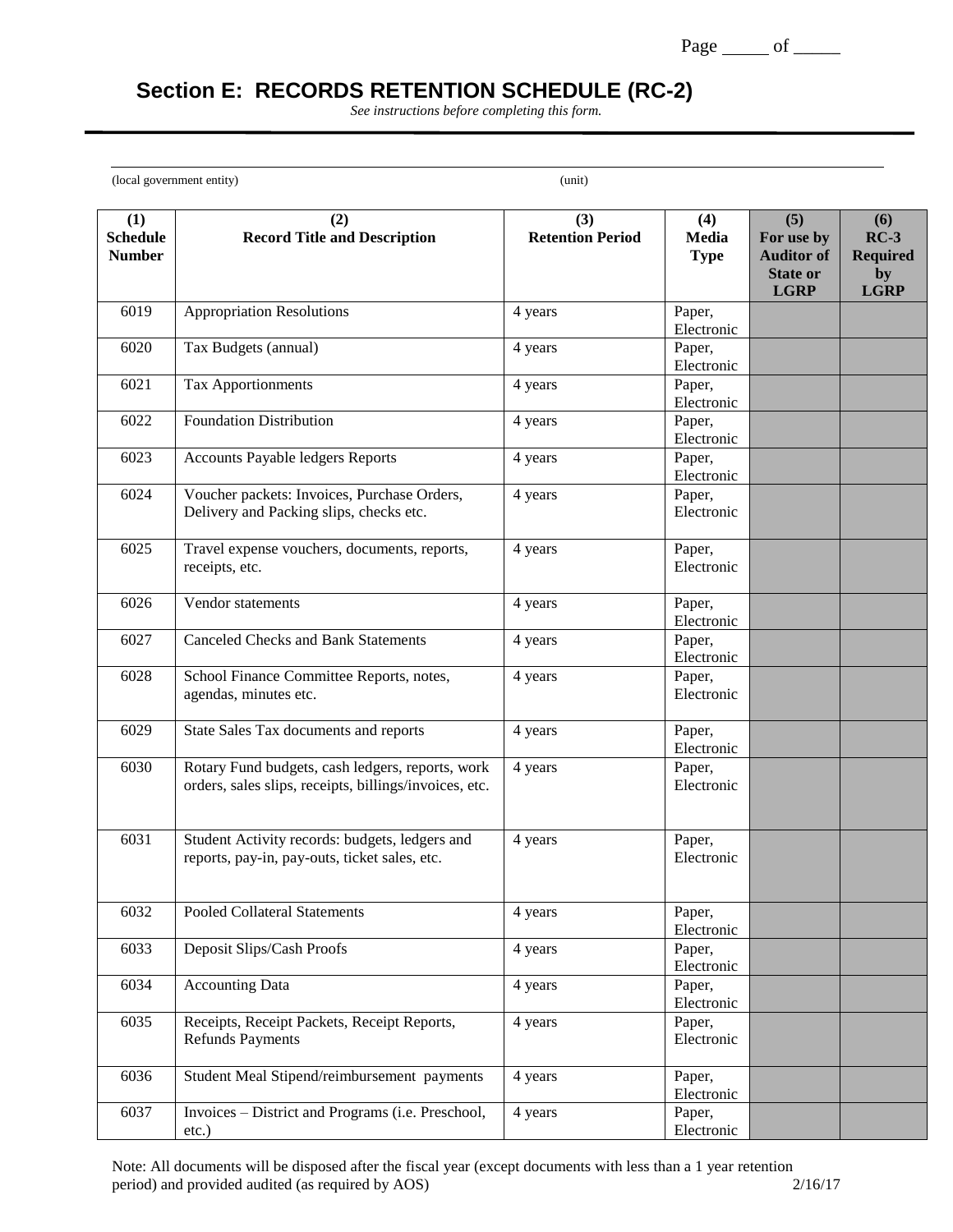# **Section E: RECORDS RETENTION SCHEDULE (RC-2)**

*See instructions before completing this form.*

(local government entity) (unit)

 $\overline{a}$ 

| (1)                              | (2)                                                                                                        | (3)                     | (4)                  | (5)                             | (6)                       |
|----------------------------------|------------------------------------------------------------------------------------------------------------|-------------------------|----------------------|---------------------------------|---------------------------|
| <b>Schedule</b><br><b>Number</b> | <b>Record Title and Description</b>                                                                        | <b>Retention Period</b> | Media<br><b>Type</b> | For use by<br><b>Auditor of</b> | $RC-3$<br><b>Required</b> |
|                                  |                                                                                                            |                         |                      | <b>State or</b><br><b>LGRP</b>  | by<br><b>LGRP</b>         |
| 6019                             | <b>Appropriation Resolutions</b>                                                                           | 4 years                 | Paper,<br>Electronic |                                 |                           |
| 6020                             | Tax Budgets (annual)                                                                                       | 4 years                 | Paper,<br>Electronic |                                 |                           |
| 6021                             | Tax Apportionments                                                                                         | 4 years                 | Paper,<br>Electronic |                                 |                           |
| 6022                             | <b>Foundation Distribution</b>                                                                             | 4 years                 | Paper,<br>Electronic |                                 |                           |
| 6023                             | <b>Accounts Payable ledgers Reports</b>                                                                    | 4 years                 | Paper,<br>Electronic |                                 |                           |
| 6024                             | Voucher packets: Invoices, Purchase Orders,<br>Delivery and Packing slips, checks etc.                     | 4 years                 | Paper,<br>Electronic |                                 |                           |
| 6025                             | Travel expense vouchers, documents, reports,<br>receipts, etc.                                             | 4 years                 | Paper,<br>Electronic |                                 |                           |
| 6026                             | Vendor statements                                                                                          | 4 years                 | Paper,<br>Electronic |                                 |                           |
| 6027                             | <b>Canceled Checks and Bank Statements</b>                                                                 | 4 years                 | Paper,<br>Electronic |                                 |                           |
| 6028                             | School Finance Committee Reports, notes,<br>agendas, minutes etc.                                          | 4 years                 | Paper,<br>Electronic |                                 |                           |
| 6029                             | State Sales Tax documents and reports                                                                      | 4 years                 | Paper,<br>Electronic |                                 |                           |
| 6030                             | Rotary Fund budgets, cash ledgers, reports, work<br>orders, sales slips, receipts, billings/invoices, etc. | 4 years                 | Paper,<br>Electronic |                                 |                           |
| 6031                             | Student Activity records: budgets, ledgers and<br>reports, pay-in, pay-outs, ticket sales, etc.            | 4 years                 | Paper,<br>Electronic |                                 |                           |
| 6032                             | Pooled Collateral Statements                                                                               | 4 years                 | Paper,<br>Electronic |                                 |                           |
| 6033                             | Deposit Slips/Cash Proofs                                                                                  | 4 years                 | Paper,<br>Electronic |                                 |                           |
| 6034                             | <b>Accounting Data</b>                                                                                     | 4 years                 | Paper,<br>Electronic |                                 |                           |
| 6035                             | Receipts, Receipt Packets, Receipt Reports,<br><b>Refunds Payments</b>                                     | 4 years                 | Paper,<br>Electronic |                                 |                           |
| 6036                             | Student Meal Stipend/reimbursement payments                                                                | 4 years                 | Paper,<br>Electronic |                                 |                           |
| 6037                             | Invoices - District and Programs (i.e. Preschool,<br>etc.)                                                 | 4 years                 | Paper,<br>Electronic |                                 |                           |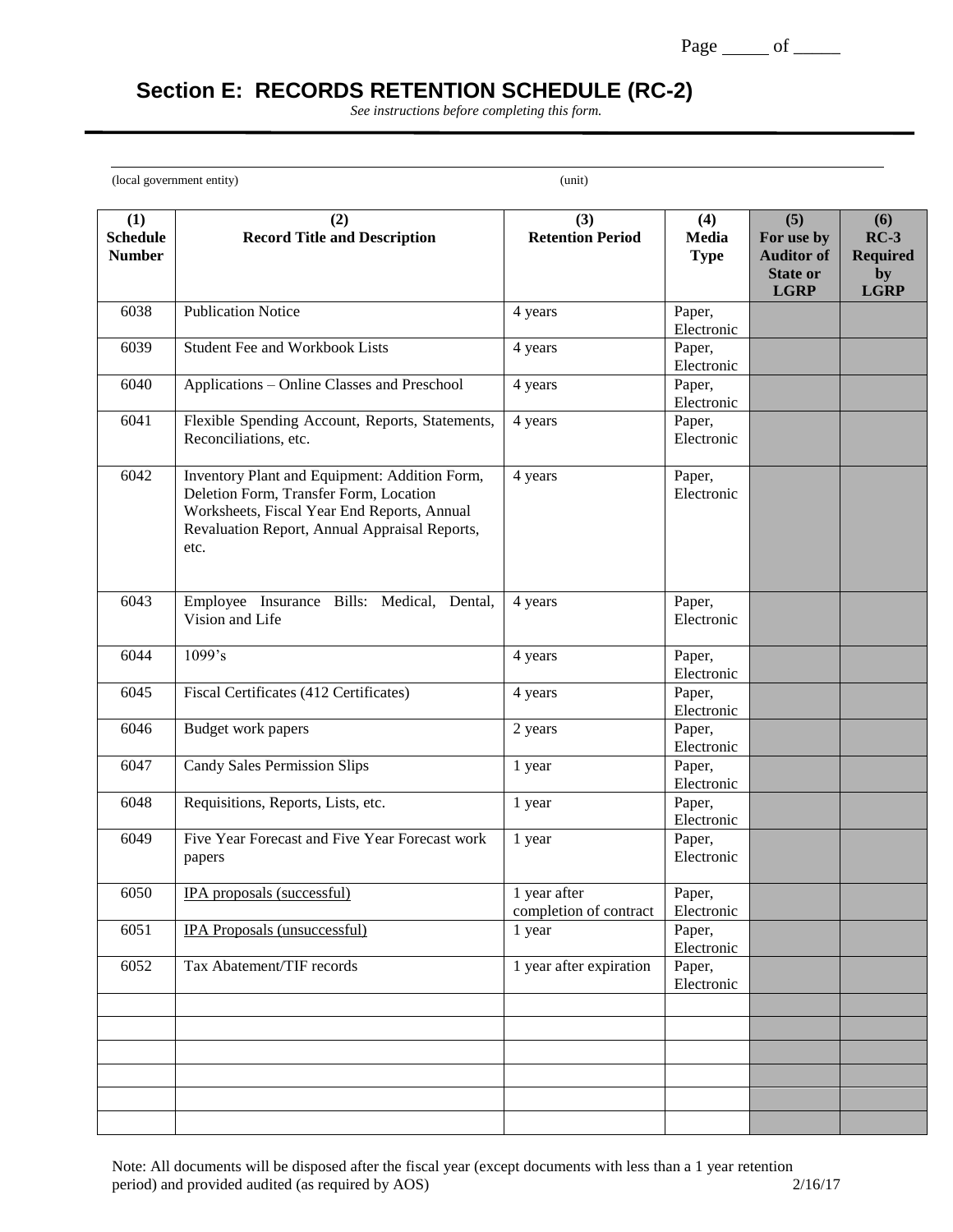# **Section E: RECORDS RETENTION SCHEDULE (RC-2)**

*See instructions before completing this form.*

(local government entity) (unit)

 $\overline{a}$ 

| (1)<br><b>Schedule</b><br><b>Number</b> | (2)<br><b>Record Title and Description</b>                                                                                                                                                      | (3)<br><b>Retention Period</b>         | (4)<br>Media<br><b>Type</b> | (5)<br>For use by<br><b>Auditor of</b> | (6)<br>$RC-3$<br><b>Required</b> |
|-----------------------------------------|-------------------------------------------------------------------------------------------------------------------------------------------------------------------------------------------------|----------------------------------------|-----------------------------|----------------------------------------|----------------------------------|
|                                         |                                                                                                                                                                                                 |                                        |                             | <b>State or</b><br><b>LGRP</b>         | by<br><b>LGRP</b>                |
| 6038                                    | <b>Publication Notice</b>                                                                                                                                                                       | 4 years                                | Paper,<br>Electronic        |                                        |                                  |
| 6039                                    | <b>Student Fee and Workbook Lists</b>                                                                                                                                                           | 4 years                                | Paper,<br>Electronic        |                                        |                                  |
| 6040                                    | Applications - Online Classes and Preschool                                                                                                                                                     | 4 years                                | Paper,<br>Electronic        |                                        |                                  |
| 6041                                    | Flexible Spending Account, Reports, Statements,<br>Reconciliations, etc.                                                                                                                        | 4 years                                | Paper,<br>Electronic        |                                        |                                  |
| 6042                                    | Inventory Plant and Equipment: Addition Form,<br>Deletion Form, Transfer Form, Location<br>Worksheets, Fiscal Year End Reports, Annual<br>Revaluation Report, Annual Appraisal Reports,<br>etc. | 4 years                                | Paper,<br>Electronic        |                                        |                                  |
| 6043                                    | Employee Insurance Bills: Medical, Dental,<br>Vision and Life                                                                                                                                   | 4 years                                | Paper,<br>Electronic        |                                        |                                  |
| 6044                                    | 1099's                                                                                                                                                                                          | 4 years                                | Paper,<br>Electronic        |                                        |                                  |
| 6045                                    | Fiscal Certificates (412 Certificates)                                                                                                                                                          | 4 years                                | Paper,<br>Electronic        |                                        |                                  |
| 6046                                    | Budget work papers                                                                                                                                                                              | 2 years                                | Paper,<br>Electronic        |                                        |                                  |
| 6047                                    | <b>Candy Sales Permission Slips</b>                                                                                                                                                             | 1 year                                 | Paper,<br>Electronic        |                                        |                                  |
| 6048                                    | Requisitions, Reports, Lists, etc.                                                                                                                                                              | 1 year                                 | Paper,<br>Electronic        |                                        |                                  |
| 6049                                    | Five Year Forecast and Five Year Forecast work<br>papers                                                                                                                                        | 1 year                                 | Paper,<br>Electronic        |                                        |                                  |
| 6050                                    | IPA proposals (successful)                                                                                                                                                                      | 1 year after<br>completion of contract | Paper,<br>Electronic        |                                        |                                  |
| 6051                                    | <b>IPA</b> Proposals (unsuccessful)                                                                                                                                                             | 1 year                                 | Paper,<br>Electronic        |                                        |                                  |
| 6052                                    | Tax Abatement/TIF records                                                                                                                                                                       | 1 year after expiration                | Paper,<br>Electronic        |                                        |                                  |
|                                         |                                                                                                                                                                                                 |                                        |                             |                                        |                                  |
|                                         |                                                                                                                                                                                                 |                                        |                             |                                        |                                  |
|                                         |                                                                                                                                                                                                 |                                        |                             |                                        |                                  |
|                                         |                                                                                                                                                                                                 |                                        |                             |                                        |                                  |